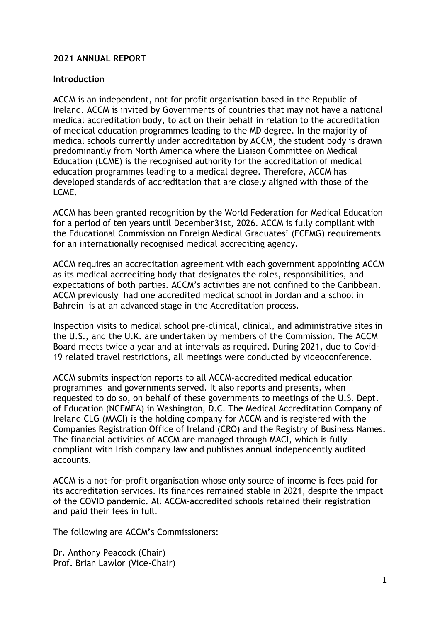# **2021 ANNUAL REPORT**

#### **Introduction**

ACCM is an independent, not for profit organisation based in the Republic of Ireland. ACCM is invited by Governments of countries that may not have a national medical accreditation body, to act on their behalf in relation to the accreditation of medical education programmes leading to the MD degree. In the majority of medical schools currently under accreditation by ACCM, the student body is drawn predominantly from North America where the Liaison Committee on Medical Education (LCME) is the recognised authority for the accreditation of medical education programmes leading to a medical degree. Therefore, ACCM has developed standards of accreditation that are closely aligned with those of the LCME.

ACCM has been granted recognition by the World Federation for Medical Education for a period of ten years until December31st, 2026. ACCM is fully compliant with the Educational Commission on Foreign Medical Graduates' (ECFMG) requirements for an internationally recognised medical accrediting agency.

ACCM requires an accreditation agreement with each government appointing ACCM as its medical accrediting body that designates the roles, responsibilities, and expectations of both parties. ACCM's activities are not confined to the Caribbean. ACCM previously had one accredited medical school in Jordan and a school in Bahrein is at an advanced stage in the Accreditation process.

Inspection visits to medical school pre-clinical, clinical, and administrative sites in the U.S., and the U.K. are undertaken by members of the Commission. The ACCM Board meets twice a year and at intervals as required. During 2021, due to Covid-19 related travel restrictions, all meetings were conducted by videoconference.

ACCM submits inspection reports to all ACCM-accredited medical education programmes and governments served. It also reports and presents, when requested to do so, on behalf of these governments to meetings of the U.S. Dept. of Education (NCFMEA) in Washington, D.C. The Medical Accreditation Company of Ireland CLG (MACI) is the holding company for ACCM and is registered with the Companies Registration Office of Ireland (CRO) and the Registry of Business Names. The financial activities of ACCM are managed through MACI, which is fully compliant with Irish company law and publishes annual independently audited accounts.

ACCM is a not-for-profit organisation whose only source of income is fees paid for its accreditation services. Its finances remained stable in 2021, despite the impact of the COVID pandemic. All ACCM-accredited schools retained their registration and paid their fees in full.

The following are ACCM's Commissioners:

Dr. Anthony Peacock (Chair) Prof. Brian Lawlor (Vice-Chair)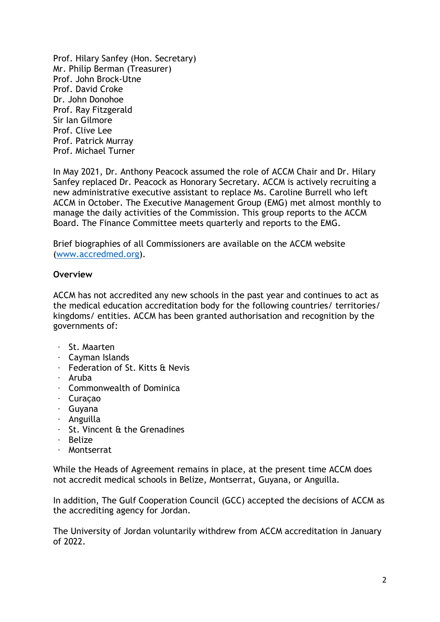Prof. Hilary Sanfey (Hon. Secretary) Mr. Philip Berman (Treasurer) Prof. John Brock-Utne Prof. David Croke Dr. John Donohoe Prof. Ray Fitzgerald Sir Ian Gilmore Prof. Clive Lee Prof. Patrick Murray Prof. Michael Turner

In May 2021, Dr. Anthony Peacock assumed the role of ACCM Chair and Dr. Hilary Sanfey replaced Dr. Peacock as Honorary Secretary. ACCM is actively recruiting a new administrative executive assistant to replace Ms. Caroline Burrell who left ACCM in October. The Executive Management Group (EMG) met almost monthly to manage the daily activities of the Commission. This group reports to the ACCM Board. The Finance Committee meets quarterly and reports to the EMG.

Brief biographies of all Commissioners are available on the ACCM website [\(www.accredmed.org\)](http://www.accredmed.org/).

### **Overview**

ACCM has not accredited any new schools in the past year and continues to act as the medical education accreditation body for the following countries/ territories/ kingdoms/ entities. ACCM has been granted authorisation and recognition by the governments of:

- · St. Maarten
- · Cayman Islands
- · Federation of St. Kitts & Nevis
- · Aruba
- · Commonwealth of Dominica
- · Curaçao
- · Guyana
- · Anguilla
- · St. Vincent & the Grenadines
- · Belize
- · Montserrat

While the Heads of Agreement remains in place, at the present time ACCM does not accredit medical schools in Belize, Montserrat, Guyana, or Anguilla.

In addition, The Gulf Cooperation Council (GCC) accepted the decisions of ACCM as the accrediting agency for Jordan.

The University of Jordan voluntarily withdrew from ACCM accreditation in January  $of$  2022.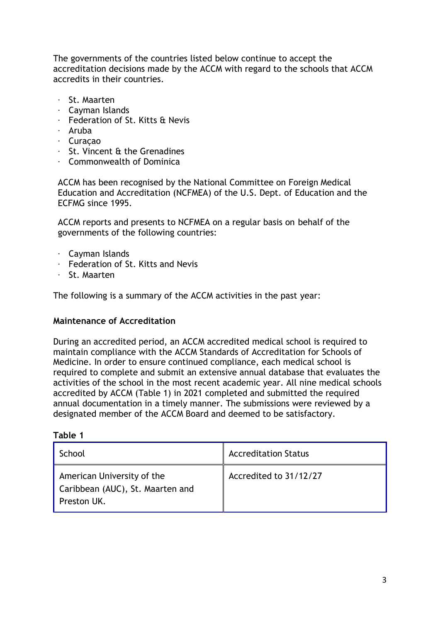The governments of the countries listed below continue to accept the accreditation decisions made by the ACCM with regard to the schools that ACCM accredits in their countries.

- · St. Maarten
- · Cayman Islands
- · Federation of St. Kitts & Nevis
- · Aruba
- · Curaçao
- · St. Vincent & the Grenadines
- · Commonwealth of Dominica

ACCM has been recognised by the National Committee on Foreign Medical Education and Accreditation (NCFMEA) of the U.S. Dept. of Education and the ECFMG since 1995.

ACCM reports and presents to NCFMEA on a regular basis on behalf of the governments of the following countries:

- · Cayman Islands
- · Federation of St. Kitts and Nevis
- · St. Maarten

The following is a summary of the ACCM activities in the past year:

### **Maintenance of Accreditation**

During an accredited period, an ACCM accredited medical school is required to maintain compliance with the ACCM Standards of Accreditation for Schools of Medicine. In order to ensure continued compliance, each medical school is required to complete and submit an extensive annual database that evaluates the activities of the school in the most recent academic year. All nine medical schools accredited by ACCM (Table 1) in 2021 completed and submitted the required annual documentation in a timely manner. The submissions were reviewed by a designated member of the ACCM Board and deemed to be satisfactory.

#### **Table 1**

| School                                                                        | <b>Accreditation Status</b> |
|-------------------------------------------------------------------------------|-----------------------------|
| American University of the<br>Caribbean (AUC), St. Maarten and<br>Preston UK. | Accredited to 31/12/27      |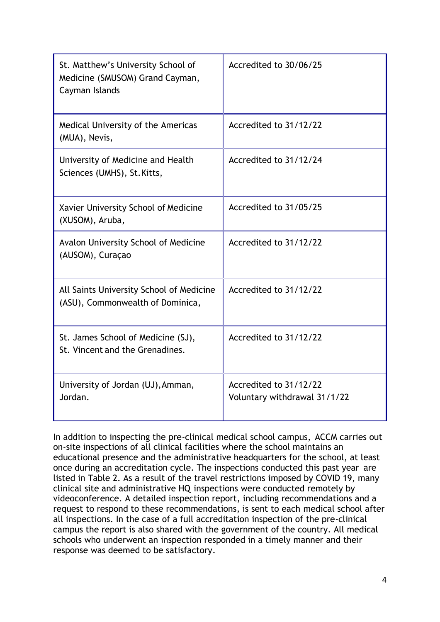| St. Matthew's University School of<br>Medicine (SMUSOM) Grand Cayman,<br>Cayman Islands | Accredited to 30/06/25                                 |
|-----------------------------------------------------------------------------------------|--------------------------------------------------------|
| Medical University of the Americas<br>(MUA), Nevis,                                     | Accredited to 31/12/22                                 |
| University of Medicine and Health<br>Sciences (UMHS), St. Kitts,                        | Accredited to 31/12/24                                 |
| Xavier University School of Medicine<br>(XUSOM), Aruba,                                 | Accredited to 31/05/25                                 |
| Avalon University School of Medicine<br>(AUSOM), Curaçao                                | Accredited to 31/12/22                                 |
| All Saints University School of Medicine<br>(ASU), Commonwealth of Dominica,            | Accredited to 31/12/22                                 |
| St. James School of Medicine (SJ),<br>St. Vincent and the Grenadines.                   | Accredited to 31/12/22                                 |
| University of Jordan (UJ), Amman,<br>Jordan.                                            | Accredited to 31/12/22<br>Voluntary withdrawal 31/1/22 |

In addition to inspecting the pre-clinical medical school campus, ACCM carries out on-site inspections of all clinical facilities where the school maintains an educational presence and the administrative headquarters for the school, at least once during an accreditation cycle. The inspections conducted this past year are listed in Table 2. As a result of the travel restrictions imposed by COVID 19, many clinical site and administrative HQ inspections were conducted remotely by videoconference. A detailed inspection report, including recommendations and a request to respond to these recommendations, is sent to each medical school after all inspections. In the case of a full accreditation inspection of the pre-clinical campus the report is also shared with the government of the country. All medical schools who underwent an inspection responded in a timely manner and their response was deemed to be satisfactory.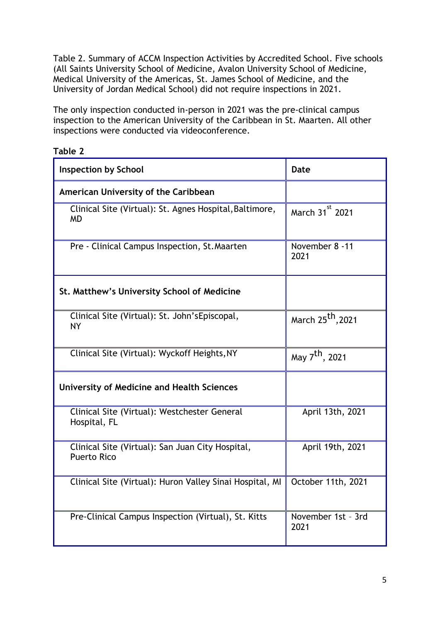Table 2. Summary of ACCM Inspection Activities by Accredited School. Five schools (All Saints University School of Medicine, Avalon University School of Medicine, Medical University of the Americas, St. James School of Medicine, and the University of Jordan Medical School) did not require inspections in 2021.

The only inspection conducted in-person in 2021 was the pre-clinical campus inspection to the American University of the Caribbean in St. Maarten. All other inspections were conducted via videoconference.

| <b>Inspection by School</b>                                            | <b>Date</b>                   |  |
|------------------------------------------------------------------------|-------------------------------|--|
| American University of the Caribbean                                   |                               |  |
| Clinical Site (Virtual): St. Agnes Hospital, Baltimore,<br><b>MD</b>   | March 31 <sup>st</sup> 2021   |  |
| Pre - Clinical Campus Inspection, St. Maarten                          | November 8 -11<br>2021        |  |
| St. Matthew's University School of Medicine                            |                               |  |
| Clinical Site (Virtual): St. John'sEpiscopal,<br><b>NY</b>             | March 25 <sup>th</sup> , 2021 |  |
| Clinical Site (Virtual): Wyckoff Heights, NY                           | May 7 <sup>th</sup> , 2021    |  |
| <b>University of Medicine and Health Sciences</b>                      |                               |  |
| Clinical Site (Virtual): Westchester General<br>Hospital, FL           | April 13th, 2021              |  |
| Clinical Site (Virtual): San Juan City Hospital,<br><b>Puerto Rico</b> | April 19th, 2021              |  |
| Clinical Site (Virtual): Huron Valley Sinai Hospital, MI               | October 11th, 2021            |  |
| Pre-Clinical Campus Inspection (Virtual), St. Kitts                    | November 1st - 3rd<br>2021    |  |

#### **Table 2**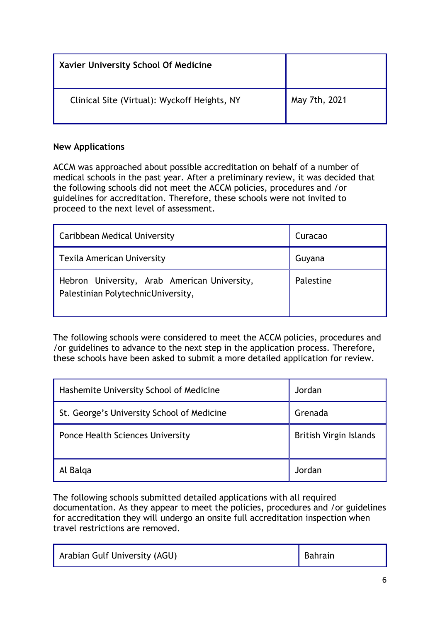| Xavier University School Of Medicine         |               |
|----------------------------------------------|---------------|
| Clinical Site (Virtual): Wyckoff Heights, NY | May 7th, 2021 |

# **New Applications**

ACCM was approached about possible accreditation on behalf of a number of medical schools in the past year. After a preliminary review, it was decided that the following schools did not meet the ACCM policies, procedures and /or guidelines for accreditation. Therefore, these schools were not invited to proceed to the next level of assessment.

| Caribbean Medical University                                                        | Curacao   |
|-------------------------------------------------------------------------------------|-----------|
| Texila American University                                                          | Guyana    |
| Hebron University, Arab American University,<br>Palestinian Polytechnic University, | Palestine |

The following schools were considered to meet the ACCM policies, procedures and /or guidelines to advance to the next step in the application process. Therefore, these schools have been asked to submit a more detailed application for review.

| Hashemite University School of Medicine    | Jordan                 |
|--------------------------------------------|------------------------|
| St. George's University School of Medicine | Grenada                |
| Ponce Health Sciences University           | British Virgin Islands |
| Al Balga                                   | Jordan                 |

The following schools submitted detailed applications with all required documentation. As they appear to meet the policies, procedures and /or guidelines for accreditation they will undergo an onsite full accreditation inspection when travel restrictions are removed.

| Arabian Gulf University (AGU) | Bahrain |
|-------------------------------|---------|
|-------------------------------|---------|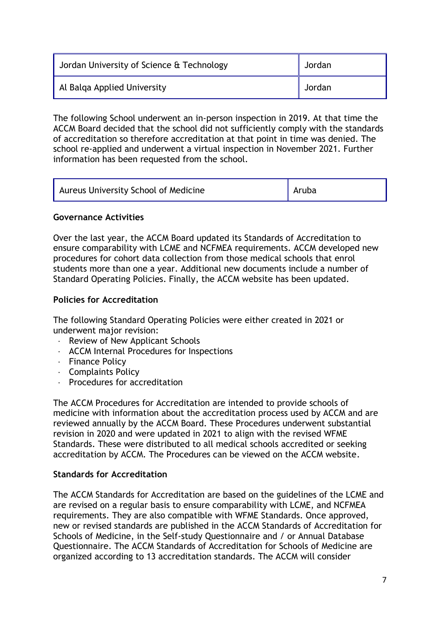| Jordan University of Science & Technology | Jordan |
|-------------------------------------------|--------|
| Al Balga Applied University               | Jordan |

The following School underwent an in-person inspection in 2019. At that time the ACCM Board decided that the school did not sufficiently comply with the standards of accreditation so therefore accreditation at that point in time was denied. The school re-applied and underwent a virtual inspection in November 2021. Further information has been requested from the school.

| Aureus University School of Medicine | $\ $ Aruba |  |
|--------------------------------------|------------|--|
|--------------------------------------|------------|--|

### **Governance Activities**

Over the last year, the ACCM Board updated its Standards of Accreditation to ensure comparability with LCME and NCFMEA requirements. ACCM developed new procedures for cohort data collection from those medical schools that enrol students more than one a year. Additional new documents include a number of Standard Operating Policies. Finally, the ACCM website has been updated.

# **Policies for Accreditation**

The following Standard Operating Policies were either created in 2021 or underwent major revision:

- · Review of New Applicant Schools
- · ACCM Internal Procedures for Inspections
- · Finance Policy
- · Complaints Policy
- · Procedures for accreditation

The ACCM Procedures for Accreditation are intended to provide schools of medicine with information about the accreditation process used by ACCM and are reviewed annually by the ACCM Board. These Procedures underwent substantial revision in 2020 and were updated in 2021 to align with the revised WFME Standards. These were distributed to all medical schools accredited or seeking accreditation by ACCM. The Procedures can be viewed on the ACCM website.

### **Standards for Accreditation**

The ACCM Standards for Accreditation are based on the guidelines of the LCME and are revised on a regular basis to ensure comparability with LCME, and NCFMEA requirements. They are also compatible with WFME Standards. Once approved, new or revised standards are published in the ACCM Standards of Accreditation for Schools of Medicine, in the Self-study Questionnaire and / or Annual Database Questionnaire. The ACCM Standards of Accreditation for Schools of Medicine are organized according to 13 accreditation standards. The ACCM will consider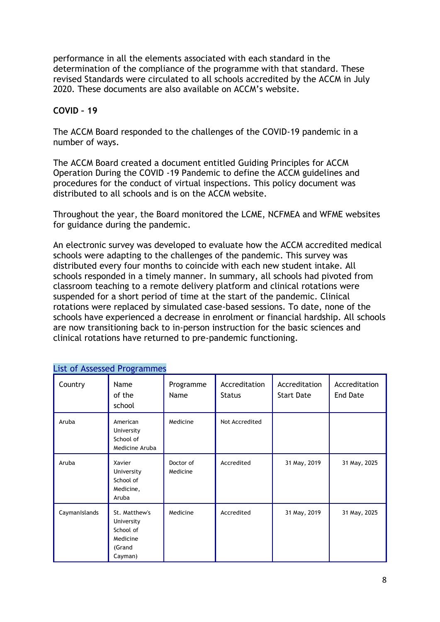performance in all the elements associated with each standard in the determination of the compliance of the programme with that standard. These revised Standards were circulated to all schools accredited by the ACCM in July 2020. These documents are also available on ACCM's website.

# **COVID – 19**

The ACCM Board responded to the challenges of the COVID-19 pandemic in a number of ways.

The ACCM Board created a document entitled Guiding Principles for ACCM Operation During the COVID -19 Pandemic to define the ACCM guidelines and procedures for the conduct of virtual inspections. This policy document was distributed to all schools and is on the ACCM website.

Throughout the year, the Board monitored the LCME, NCFMEA and WFME websites for guidance during the pandemic.

An electronic survey was developed to evaluate how the ACCM accredited medical schools were adapting to the challenges of the pandemic. This survey was distributed every four months to coincide with each new student intake. All schools responded in a timely manner. In summary, all schools had pivoted from classroom teaching to a remote delivery platform and clinical rotations were suspended for a short period of time at the start of the pandemic. Clinical rotations were replaced by simulated case-based sessions. To date, none of the schools have experienced a decrease in enrolment or financial hardship. All schools are now transitioning back to in-person instruction for the basic sciences and clinical rotations have returned to pre-pandemic functioning.

| Country       | Name<br>of the<br>school                                                  | Programme<br>Name     | Accreditation<br><b>Status</b> | Accreditation<br><b>Start Date</b> | Accreditation<br><b>End Date</b> |
|---------------|---------------------------------------------------------------------------|-----------------------|--------------------------------|------------------------------------|----------------------------------|
| Aruba         | American<br>University<br>School of<br>Medicine Aruba                     | Medicine              | Not Accredited                 |                                    |                                  |
| Aruba         | Xavier<br>University<br>School of<br>Medicine,<br>Aruba                   | Doctor of<br>Medicine | Accredited                     | 31 May, 2019                       | 31 May, 2025                     |
| CaymanIslands | St. Matthew's<br>University<br>School of<br>Medicine<br>(Grand<br>Cayman) | Medicine              | Accredited                     | 31 May, 2019                       | 31 May, 2025                     |

# List of Assessed Programmes